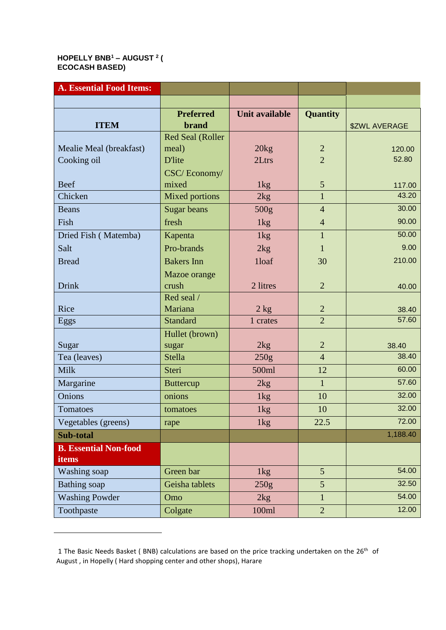## **HOPELLY BNB<sup>1</sup> – AUGUST <sup>2</sup> ( ECOCASH BASED)**

| <b>A. Essential Food Items:</b> |                         |                       |                 |                      |
|---------------------------------|-------------------------|-----------------------|-----------------|----------------------|
|                                 |                         |                       |                 |                      |
|                                 | <b>Preferred</b>        | <b>Unit available</b> | <b>Quantity</b> |                      |
| <b>ITEM</b>                     | <b>brand</b>            |                       |                 | <b>\$ZWL AVERAGE</b> |
|                                 | <b>Red Seal (Roller</b> |                       |                 |                      |
| Mealie Meal (breakfast)         | meal)                   | 20 <sub>kg</sub>      | $\overline{2}$  | 120.00               |
| Cooking oil                     | <b>D'lite</b>           | 2Ltrs                 | $\overline{2}$  | 52.80                |
|                                 | CSC/Economy/            |                       |                 |                      |
| <b>Beef</b>                     | mixed                   | 1kg                   | $\mathfrak{S}$  | 117.00<br>43.20      |
| Chicken                         | <b>Mixed portions</b>   | 2kg                   | $\mathbf{1}$    |                      |
| <b>Beans</b>                    | <b>Sugar beans</b>      | 500g                  | $\overline{4}$  | 30.00                |
| Fish                            | fresh                   | 1kg                   | $\overline{4}$  | 90.00                |
| Dried Fish (Matemba)            | Kapenta                 | 1 <sub>kg</sub>       | $\mathbf{1}$    | 50.00                |
| Salt                            | Pro-brands              | 2kg                   | $\mathbf{1}$    | 9.00                 |
| <b>Bread</b>                    | <b>Bakers</b> Inn       | 1loaf                 | 30              | 210.00               |
|                                 | Mazoe orange            |                       |                 |                      |
| <b>Drink</b>                    | crush                   | 2 litres              | $\overline{2}$  | 40.00                |
|                                 | Red seal /              |                       |                 |                      |
| Rice                            | Mariana                 | $2$ kg                | $\overline{2}$  | 38.40                |
| Eggs                            | <b>Standard</b>         | 1 crates              | $\overline{2}$  | 57.60                |
|                                 | Hullet (brown)          |                       |                 |                      |
| Sugar                           | sugar                   | 2kg                   | $\mathbf{2}$    | 38.40<br>38.40       |
| Tea (leaves)                    | <b>Stella</b>           | 250g                  | $\overline{4}$  |                      |
| Milk                            | Steri                   | 500ml                 | 12              | 60.00                |
| Margarine                       | <b>Buttercup</b>        | 2kg                   | $\mathbf{1}$    | 57.60                |
| Onions                          | onions                  | 1 <sub>kg</sub>       | 10              | 32.00                |
| Tomatoes                        | tomatoes                | 1kg                   | 10              | 32.00                |
| Vegetables (greens)             | rape                    | 1kg                   | 22.5            | 72.00                |
| Sub-total                       |                         |                       |                 | 1,188.40             |
| <b>B. Essential Non-food</b>    |                         |                       |                 |                      |
| items                           |                         |                       |                 |                      |
| Washing soap                    | Green bar               | 1kg                   | $5\overline{)}$ | 54.00                |
| <b>Bathing</b> soap             | Geisha tablets          | 250g                  | 5               | 32.50                |
| <b>Washing Powder</b>           | Omo                     | 2kg                   | $\mathbf{1}$    | 54.00                |
| Toothpaste                      | Colgate                 | 100ml                 | $\overline{2}$  | 12.00                |

<sup>1</sup> The Basic Needs Basket (BNB) calculations are based on the price tracking undertaken on the 26<sup>th</sup> of August , in Hopelly ( Hard shopping center and other shops), Harare